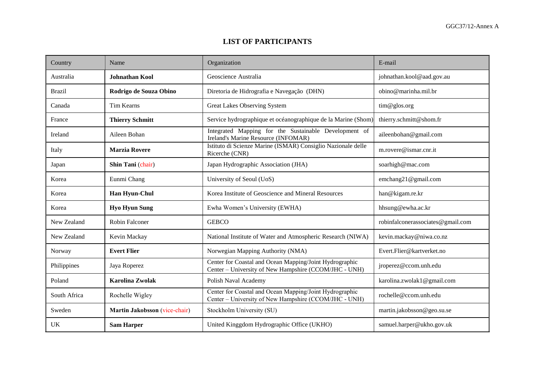## **LIST OF PARTICIPANTS**

| Country       | Name                          | Organization                                                                                                     | E-mail                            |
|---------------|-------------------------------|------------------------------------------------------------------------------------------------------------------|-----------------------------------|
| Australia     | <b>Johnathan Kool</b>         | Geoscience Australia                                                                                             | johnathan.kool@aad.gov.au         |
| <b>Brazil</b> | Rodrigo de Souza Obino        | Diretoria de Hidrografia e Navegação (DHN)                                                                       | obino@marinha.mil.br              |
| Canada        | Tim Kearns                    | Great Lakes Observing System                                                                                     | tim@glos.org                      |
| France        | <b>Thierry Schmitt</b>        | Service hydrographique et océanographique de la Marine (Shom)                                                    | thierry.schmitt@shom.fr           |
| Ireland       | Aileen Bohan                  | Integrated Mapping for the Sustainable Development of<br>Ireland's Marine Resource (INFOMAR)                     | aileenbohan@gmail.com             |
| Italy         | <b>Marzia Rovere</b>          | Istituto di Scienze Marine (ISMAR) Consiglio Nazionale delle<br>Ricerche (CNR)                                   | m.rovere@ismar.cnr.it             |
| Japan         | Shin Tani (chair)             | Japan Hydrographic Association (JHA)                                                                             | soarhigh@mac.com                  |
| Korea         | Eunmi Chang                   | University of Seoul (UoS)                                                                                        | emchang21@gmail.com               |
| Korea         | Han Hyun-Chul                 | Korea Institute of Geoscience and Mineral Resources                                                              | han@kigam.re.kr                   |
| Korea         | <b>Hyo Hyun Sung</b>          | Ewha Women's University (EWHA)                                                                                   | hhsung@ewha.ac.kr                 |
| New Zealand   | Robin Falconer                | <b>GEBCO</b>                                                                                                     | robinfalconerassociates@gmail.com |
| New Zealand   | Kevin Mackay                  | National Institute of Water and Atmospheric Research (NIWA)                                                      | kevin.mackay@niwa.co.nz           |
| Norway        | <b>Evert Flier</b>            | Norwegian Mapping Authority (NMA)                                                                                | Evert.Flier@kartverket.no         |
| Philippines   | Jaya Roperez                  | Center for Coastal and Ocean Mapping/Joint Hydrographic<br>Center – University of New Hampshire (CCOM/JHC - UNH) | jroperez@ccom.unh.edu             |
| Poland        | <b>Karolina Zwolak</b>        | Polish Naval Academy                                                                                             | karolina.zwolak1@gmail.com        |
| South Africa  | Rochelle Wigley               | Center for Coastal and Ocean Mapping/Joint Hydrographic<br>Center – University of New Hampshire (CCOM/JHC - UNH) | rochelle@ccom.unh.edu             |
| Sweden        | Martin Jakobsson (vice-chair) | Stockholm University (SU)                                                                                        | martin.jakobsson@geo.su.se        |
| UK            | <b>Sam Harper</b>             | United Kinggdom Hydrographic Office (UKHO)                                                                       | samuel.harper@ukho.gov.uk         |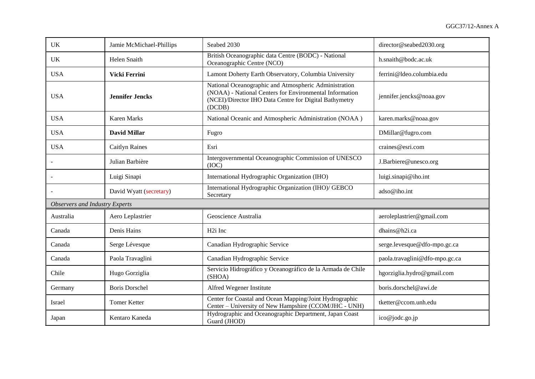| <b>UK</b>                             | Jamie McMichael-Phillips | Seabed 2030                                                                                                                                                                          | director@seabed2030.org        |  |  |
|---------------------------------------|--------------------------|--------------------------------------------------------------------------------------------------------------------------------------------------------------------------------------|--------------------------------|--|--|
| <b>UK</b>                             | <b>Helen Snaith</b>      | British Oceanographic data Centre (BODC) - National<br>Oceanographic Centre (NCO)                                                                                                    | h.snaith@bodc.ac.uk            |  |  |
| <b>USA</b>                            | Vicki Ferrini            | Lamont Doherty Earth Observatory, Columbia University                                                                                                                                | ferrini@ldeo.columbia.edu      |  |  |
| <b>USA</b>                            | <b>Jennifer Jencks</b>   | National Oceanographic and Atmospheric Administration<br>(NOAA) - National Centers for Environmental Information<br>(NCEI)/Director IHO Data Centre for Digital Bathymetry<br>(DCDB) | jennifer.jencks@noaa.gov       |  |  |
| <b>USA</b>                            | <b>Karen Marks</b>       | National Oceanic and Atmospheric Administration (NOAA)                                                                                                                               | karen.marks@noaa.gov           |  |  |
| <b>USA</b>                            | <b>David Millar</b>      | Fugro                                                                                                                                                                                | DMillar@fugro.com              |  |  |
| <b>USA</b>                            | <b>Caitlyn Raines</b>    | Esri                                                                                                                                                                                 | craines@esri.com               |  |  |
|                                       | Julian Barbière          | Intergovernmental Oceanographic Commission of UNESCO<br>(IOC)                                                                                                                        | J.Barbiere@unesco.org          |  |  |
|                                       | Luigi Sinapi             | International Hydrographic Organization (IHO)                                                                                                                                        | luigi.sinapi@iho.int           |  |  |
|                                       | David Wyatt (secretary)  | International Hydrographic Organization (IHO)/ GEBCO<br>Secretary                                                                                                                    | adso@iho.int                   |  |  |
| <b>Observers and Industry Experts</b> |                          |                                                                                                                                                                                      |                                |  |  |
| Australia                             | Aero Leplastrier         | Geoscience Australia                                                                                                                                                                 | aeroleplastrier@gmail.com      |  |  |
| Canada                                | Denis Hains              | H <sub>2i</sub> Inc                                                                                                                                                                  | dhains@h2i.ca                  |  |  |
| Canada                                | Serge Lévesque           | Canadian Hydrographic Service                                                                                                                                                        | serge.levesque@dfo-mpo.gc.ca   |  |  |
| Canada                                | Paola Travaglini         | Canadian Hydrographic Service                                                                                                                                                        | paola.travaglini@dfo-mpo.gc.ca |  |  |
| Chile                                 | Hugo Gorziglia           | Servicio Hidrográfico y Oceanográfico de la Armada de Chile<br>(SHOA)                                                                                                                | hgorziglia.hydro@gmail.com     |  |  |
| Germany                               | <b>Boris Dorschel</b>    | Alfred Wegener Institute                                                                                                                                                             | boris.dorschel@awi.de          |  |  |
| Israel                                | <b>Tomer Ketter</b>      | Center for Coastal and Ocean Mapping/Joint Hydrographic<br>Center - University of New Hampshire (CCOM/JHC - UNH)                                                                     | tketter@ccom.unh.edu           |  |  |
| Japan                                 | Kentaro Kaneda           | Hydrographic and Oceanographic Department, Japan Coast<br>Guard (JHOD)                                                                                                               | ico@jodc.go.jp                 |  |  |